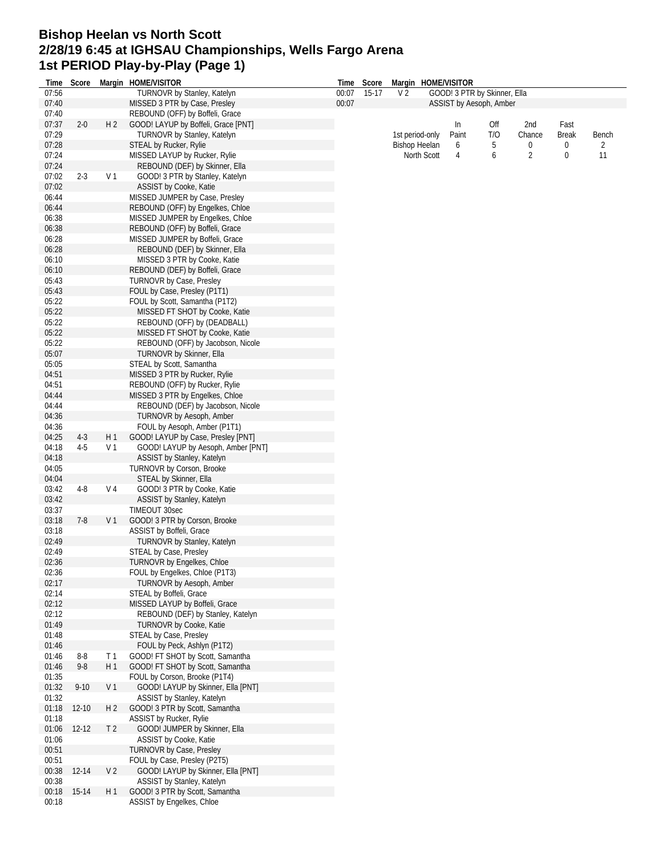## **Bishop Heelan vs North Scott 2/28/19 6:45 at IGHSAU Championships, Wells Fargo Arena 1st PERIOD Play-by-Play (Page 1)**

| Time  | Score     |                | Margin HOME/VISITOR                 |       | Time Score |                      |                 | Margin HOME/VISITOR |                              |                |              |       |
|-------|-----------|----------------|-------------------------------------|-------|------------|----------------------|-----------------|---------------------|------------------------------|----------------|--------------|-------|
| 07:56 |           |                | TURNOVR by Stanley, Katelyn         | 00:07 | 15-17      | V <sub>2</sub>       |                 |                     | GOOD! 3 PTR by Skinner, Ella |                |              |       |
| 07:40 |           |                | MISSED 3 PTR by Case, Presley       | 00:07 |            |                      |                 |                     | ASSIST by Aesoph, Amber      |                |              |       |
| 07:40 |           |                | REBOUND (OFF) by Boffeli, Grace     |       |            |                      |                 |                     |                              |                |              |       |
| 07:37 | $2 - 0$   | H <sub>2</sub> | GOOD! LAYUP by Boffeli, Grace [PNT] |       |            |                      |                 | In                  | Off                          | 2nd            | Fast         |       |
| 07:29 |           |                | TURNOVR by Stanley, Katelyn         |       |            |                      | 1st period-only | Paint               | T/O                          | Chance         | <b>Break</b> | Bench |
|       |           |                |                                     |       |            |                      |                 |                     |                              |                |              |       |
| 07:28 |           |                | <b>STEAL by Rucker, Rylie</b>       |       |            | <b>Bishop Heelan</b> |                 | 6                   | 5                            | 0              | 0            | 2     |
| 07:24 |           |                | MISSED LAYUP by Rucker, Rylie       |       |            |                      | North Scott     | 4                   | 6                            | $\overline{2}$ | 0            | 11    |
| 07:24 |           |                | REBOUND (DEF) by Skinner, Ella      |       |            |                      |                 |                     |                              |                |              |       |
| 07:02 | $2 - 3$   | V <sub>1</sub> | GOOD! 3 PTR by Stanley, Katelyn     |       |            |                      |                 |                     |                              |                |              |       |
| 07:02 |           |                | ASSIST by Cooke, Katie              |       |            |                      |                 |                     |                              |                |              |       |
| 06:44 |           |                | MISSED JUMPER by Case, Presley      |       |            |                      |                 |                     |                              |                |              |       |
| 06:44 |           |                | REBOUND (OFF) by Engelkes, Chloe    |       |            |                      |                 |                     |                              |                |              |       |
|       |           |                |                                     |       |            |                      |                 |                     |                              |                |              |       |
| 06:38 |           |                | MISSED JUMPER by Engelkes, Chloe    |       |            |                      |                 |                     |                              |                |              |       |
| 06:38 |           |                | REBOUND (OFF) by Boffeli, Grace     |       |            |                      |                 |                     |                              |                |              |       |
| 06:28 |           |                | MISSED JUMPER by Boffeli, Grace     |       |            |                      |                 |                     |                              |                |              |       |
| 06:28 |           |                | REBOUND (DEF) by Skinner, Ella      |       |            |                      |                 |                     |                              |                |              |       |
| 06:10 |           |                | MISSED 3 PTR by Cooke, Katie        |       |            |                      |                 |                     |                              |                |              |       |
| 06:10 |           |                | REBOUND (DEF) by Boffeli, Grace     |       |            |                      |                 |                     |                              |                |              |       |
| 05:43 |           |                | TURNOVR by Case, Presley            |       |            |                      |                 |                     |                              |                |              |       |
| 05:43 |           |                | FOUL by Case, Presley (P1T1)        |       |            |                      |                 |                     |                              |                |              |       |
|       |           |                |                                     |       |            |                      |                 |                     |                              |                |              |       |
| 05:22 |           |                | FOUL by Scott, Samantha (P1T2)      |       |            |                      |                 |                     |                              |                |              |       |
| 05:22 |           |                | MISSED FT SHOT by Cooke, Katie      |       |            |                      |                 |                     |                              |                |              |       |
| 05:22 |           |                | REBOUND (OFF) by (DEADBALL)         |       |            |                      |                 |                     |                              |                |              |       |
| 05:22 |           |                | MISSED FT SHOT by Cooke, Katie      |       |            |                      |                 |                     |                              |                |              |       |
| 05:22 |           |                | REBOUND (OFF) by Jacobson, Nicole   |       |            |                      |                 |                     |                              |                |              |       |
| 05:07 |           |                | TURNOVR by Skinner, Ella            |       |            |                      |                 |                     |                              |                |              |       |
| 05:05 |           |                | STEAL by Scott, Samantha            |       |            |                      |                 |                     |                              |                |              |       |
|       |           |                |                                     |       |            |                      |                 |                     |                              |                |              |       |
| 04:51 |           |                | MISSED 3 PTR by Rucker, Rylie       |       |            |                      |                 |                     |                              |                |              |       |
| 04:51 |           |                | REBOUND (OFF) by Rucker, Rylie      |       |            |                      |                 |                     |                              |                |              |       |
| 04:44 |           |                | MISSED 3 PTR by Engelkes, Chloe     |       |            |                      |                 |                     |                              |                |              |       |
| 04:44 |           |                | REBOUND (DEF) by Jacobson, Nicole   |       |            |                      |                 |                     |                              |                |              |       |
| 04:36 |           |                | <b>TURNOVR by Aesoph, Amber</b>     |       |            |                      |                 |                     |                              |                |              |       |
| 04:36 |           |                | FOUL by Aesoph, Amber (P1T1)        |       |            |                      |                 |                     |                              |                |              |       |
| 04:25 | $4-3$     | H1             | GOOD! LAYUP by Case, Presley [PNT]  |       |            |                      |                 |                     |                              |                |              |       |
|       |           |                |                                     |       |            |                      |                 |                     |                              |                |              |       |
| 04:18 | $4 - 5$   | V <sub>1</sub> | GOOD! LAYUP by Aesoph, Amber [PNT]  |       |            |                      |                 |                     |                              |                |              |       |
| 04:18 |           |                | ASSIST by Stanley, Katelyn          |       |            |                      |                 |                     |                              |                |              |       |
| 04:05 |           |                | TURNOVR by Corson, Brooke           |       |            |                      |                 |                     |                              |                |              |       |
| 04:04 |           |                | STEAL by Skinner, Ella              |       |            |                      |                 |                     |                              |                |              |       |
| 03:42 | $4 - 8$   | V <sub>4</sub> | GOOD! 3 PTR by Cooke, Katie         |       |            |                      |                 |                     |                              |                |              |       |
| 03:42 |           |                | ASSIST by Stanley, Katelyn          |       |            |                      |                 |                     |                              |                |              |       |
| 03:37 |           |                | TIMEOUT 30sec                       |       |            |                      |                 |                     |                              |                |              |       |
| 03:18 | $7-8$     |                | GOOD! 3 PTR by Corson, Brooke       |       |            |                      |                 |                     |                              |                |              |       |
|       |           | V 1            |                                     |       |            |                      |                 |                     |                              |                |              |       |
| 03:18 |           |                | ASSIST by Boffeli, Grace            |       |            |                      |                 |                     |                              |                |              |       |
| 02:49 |           |                | TURNOVR by Stanley, Katelyn         |       |            |                      |                 |                     |                              |                |              |       |
| 02:49 |           |                | STEAL by Case, Presley              |       |            |                      |                 |                     |                              |                |              |       |
| 02:36 |           |                | TURNOVR by Engelkes, Chloe          |       |            |                      |                 |                     |                              |                |              |       |
| 02:36 |           |                | FOUL by Engelkes, Chloe (P1T3)      |       |            |                      |                 |                     |                              |                |              |       |
| 02:17 |           |                | TURNOVR by Aesoph, Amber            |       |            |                      |                 |                     |                              |                |              |       |
| 02:14 |           |                | STEAL by Boffeli, Grace             |       |            |                      |                 |                     |                              |                |              |       |
| 02:12 |           |                | MISSED LAYUP by Boffeli, Grace      |       |            |                      |                 |                     |                              |                |              |       |
| 02:12 |           |                |                                     |       |            |                      |                 |                     |                              |                |              |       |
|       |           |                | REBOUND (DEF) by Stanley, Katelyn   |       |            |                      |                 |                     |                              |                |              |       |
| 01:49 |           |                | TURNOVR by Cooke, Katie             |       |            |                      |                 |                     |                              |                |              |       |
| 01:48 |           |                | STEAL by Case, Presley              |       |            |                      |                 |                     |                              |                |              |       |
| 01:46 |           |                | FOUL by Peck, Ashlyn (P1T2)         |       |            |                      |                 |                     |                              |                |              |       |
| 01:46 | $8 - 8$   | T <sub>1</sub> | GOOD! FT SHOT by Scott, Samantha    |       |            |                      |                 |                     |                              |                |              |       |
| 01:46 | $9 - 8$   | H <sub>1</sub> | GOOD! FT SHOT by Scott, Samantha    |       |            |                      |                 |                     |                              |                |              |       |
| 01:35 |           |                | FOUL by Corson, Brooke (P1T4)       |       |            |                      |                 |                     |                              |                |              |       |
| 01:32 | $9 - 10$  | V <sub>1</sub> | GOOD! LAYUP by Skinner, Ella [PNT]  |       |            |                      |                 |                     |                              |                |              |       |
| 01:32 |           |                |                                     |       |            |                      |                 |                     |                              |                |              |       |
|       |           |                | ASSIST by Stanley, Katelyn          |       |            |                      |                 |                     |                              |                |              |       |
| 01:18 | $12 - 10$ | H 2            | GOOD! 3 PTR by Scott, Samantha      |       |            |                      |                 |                     |                              |                |              |       |
| 01:18 |           |                | ASSIST by Rucker, Rylie             |       |            |                      |                 |                     |                              |                |              |       |
| 01:06 | $12 - 12$ | T <sub>2</sub> | GOOD! JUMPER by Skinner, Ella       |       |            |                      |                 |                     |                              |                |              |       |
| 01:06 |           |                | ASSIST by Cooke, Katie              |       |            |                      |                 |                     |                              |                |              |       |
| 00:51 |           |                | <b>TURNOVR by Case, Presley</b>     |       |            |                      |                 |                     |                              |                |              |       |
| 00:51 |           |                | FOUL by Case, Presley (P2T5)        |       |            |                      |                 |                     |                              |                |              |       |
| 00:38 | $12 - 14$ | V <sub>2</sub> | GOOD! LAYUP by Skinner, Ella [PNT]  |       |            |                      |                 |                     |                              |                |              |       |
|       |           |                |                                     |       |            |                      |                 |                     |                              |                |              |       |
| 00:38 |           |                | ASSIST by Stanley, Katelyn          |       |            |                      |                 |                     |                              |                |              |       |
| 00:18 | 15-14     | H 1            | GOOD! 3 PTR by Scott, Samantha      |       |            |                      |                 |                     |                              |                |              |       |
| 00:18 |           |                | ASSIST by Engelkes, Chloe           |       |            |                      |                 |                     |                              |                |              |       |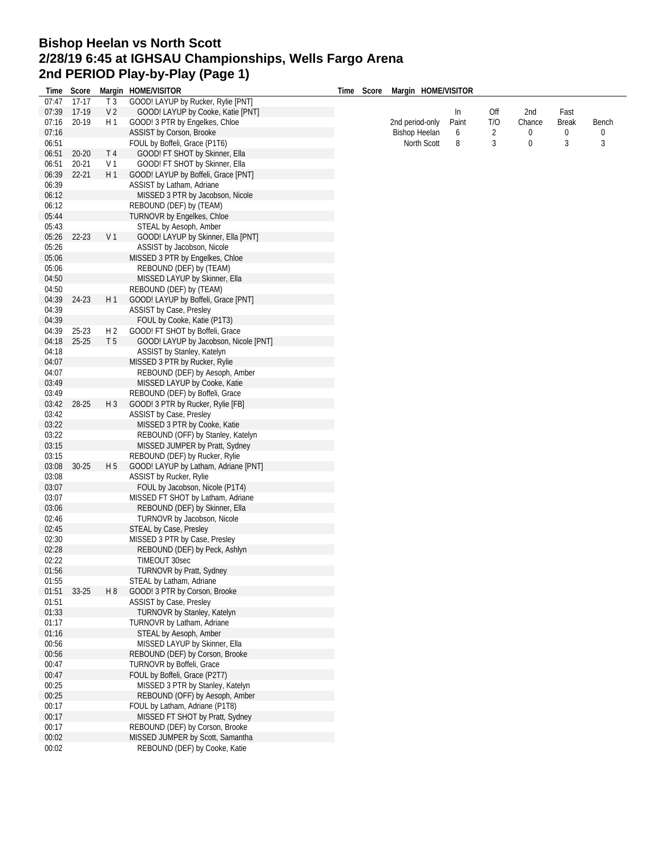## **Bishop Heelan vs North Scott 2/28/19 6:45 at IGHSAU Championships, Wells Fargo Arena 2nd PERIOD Play-by-Play (Page 1)**

| lime  | Score     |                | Margin HOME/VISITOR                   | Time | Score | Margin HOME/VISITOR  |       |                |        |              |       |
|-------|-----------|----------------|---------------------------------------|------|-------|----------------------|-------|----------------|--------|--------------|-------|
| 07:47 | $17 - 17$ | T <sub>3</sub> | GOOD! LAYUP by Rucker, Rylie [PNT]    |      |       |                      |       |                |        |              |       |
| 07:39 | 17-19     | V <sub>2</sub> | GOOD! LAYUP by Cooke, Katie [PNT]     |      |       |                      | In    | Off            | 2nd    | Fast         |       |
| 07:16 | 20-19     | H 1            | GOOD! 3 PTR by Engelkes, Chloe        |      |       | 2nd period-only      | Paint | T/O            | Chance | <b>Break</b> | Bench |
| 07:16 |           |                | ASSIST by Corson, Brooke              |      |       | <b>Bishop Heelan</b> | 6     | $\overline{c}$ | 0      | 0            | 0     |
| 06:51 |           |                | FOUL by Boffeli, Grace (P1T6)         |      |       | North Scott          | 8     | 3              | 0      | 3            | 3     |
| 06:51 | 20-20     | T <sub>4</sub> | GOOD! FT SHOT by Skinner, Ella        |      |       |                      |       |                |        |              |       |
| 06:51 | $20 - 21$ | V <sub>1</sub> | GOOD! FT SHOT by Skinner, Ella        |      |       |                      |       |                |        |              |       |
| 06:39 | $22 - 21$ | H1             | GOOD! LAYUP by Boffeli, Grace [PNT]   |      |       |                      |       |                |        |              |       |
| 06:39 |           |                | ASSIST by Latham, Adriane             |      |       |                      |       |                |        |              |       |
| 06:12 |           |                | MISSED 3 PTR by Jacobson, Nicole      |      |       |                      |       |                |        |              |       |
| 06:12 |           |                | REBOUND (DEF) by (TEAM)               |      |       |                      |       |                |        |              |       |
| 05:44 |           |                | TURNOVR by Engelkes, Chloe            |      |       |                      |       |                |        |              |       |
| 05:43 |           |                | STEAL by Aesoph, Amber                |      |       |                      |       |                |        |              |       |
| 05:26 | 22-23     | V <sub>1</sub> | GOOD! LAYUP by Skinner, Ella [PNT]    |      |       |                      |       |                |        |              |       |
| 05:26 |           |                | ASSIST by Jacobson, Nicole            |      |       |                      |       |                |        |              |       |
| 05:06 |           |                | MISSED 3 PTR by Engelkes, Chloe       |      |       |                      |       |                |        |              |       |
| 05:06 |           |                | REBOUND (DEF) by (TEAM)               |      |       |                      |       |                |        |              |       |
| 04:50 |           |                | MISSED LAYUP by Skinner, Ella         |      |       |                      |       |                |        |              |       |
| 04:50 |           |                | REBOUND (DEF) by (TEAM)               |      |       |                      |       |                |        |              |       |
| 04:39 | 24-23     | H1             | GOOD! LAYUP by Boffeli, Grace [PNT]   |      |       |                      |       |                |        |              |       |
| 04:39 |           |                | ASSIST by Case, Presley               |      |       |                      |       |                |        |              |       |
| 04:39 |           |                | FOUL by Cooke, Katie (P1T3)           |      |       |                      |       |                |        |              |       |
| 04:39 | $25 - 23$ | H <sub>2</sub> | GOOD! FT SHOT by Boffeli, Grace       |      |       |                      |       |                |        |              |       |
| 04:18 | $25 - 25$ | T <sub>5</sub> | GOOD! LAYUP by Jacobson, Nicole [PNT] |      |       |                      |       |                |        |              |       |
| 04:18 |           |                | ASSIST by Stanley, Katelyn            |      |       |                      |       |                |        |              |       |
| 04:07 |           |                | MISSED 3 PTR by Rucker, Rylie         |      |       |                      |       |                |        |              |       |
| 04:07 |           |                | REBOUND (DEF) by Aesoph, Amber        |      |       |                      |       |                |        |              |       |
| 03:49 |           |                | MISSED LAYUP by Cooke, Katie          |      |       |                      |       |                |        |              |       |
| 03:49 |           |                | REBOUND (DEF) by Boffeli, Grace       |      |       |                      |       |                |        |              |       |
| 03:42 | 28-25     | $H_3$          | GOOD! 3 PTR by Rucker, Rylie [FB]     |      |       |                      |       |                |        |              |       |
| 03:42 |           |                | ASSIST by Case, Presley               |      |       |                      |       |                |        |              |       |
| 03:22 |           |                | MISSED 3 PTR by Cooke, Katie          |      |       |                      |       |                |        |              |       |
| 03:22 |           |                | REBOUND (OFF) by Stanley, Katelyn     |      |       |                      |       |                |        |              |       |
| 03:15 |           |                | MISSED JUMPER by Pratt, Sydney        |      |       |                      |       |                |        |              |       |
| 03:15 |           |                | REBOUND (DEF) by Rucker, Rylie        |      |       |                      |       |                |        |              |       |
| 03:08 | $30 - 25$ | H 5            | GOOD! LAYUP by Latham, Adriane [PNT]  |      |       |                      |       |                |        |              |       |
| 03:08 |           |                | ASSIST by Rucker, Rylie               |      |       |                      |       |                |        |              |       |
| 03:07 |           |                | FOUL by Jacobson, Nicole (P1T4)       |      |       |                      |       |                |        |              |       |
| 03:07 |           |                | MISSED FT SHOT by Latham, Adriane     |      |       |                      |       |                |        |              |       |
| 03:06 |           |                | REBOUND (DEF) by Skinner, Ella        |      |       |                      |       |                |        |              |       |
| 02:46 |           |                | TURNOVR by Jacobson, Nicole           |      |       |                      |       |                |        |              |       |
| 02:45 |           |                | STEAL by Case, Presley                |      |       |                      |       |                |        |              |       |
| 02:30 |           |                | MISSED 3 PTR by Case, Presley         |      |       |                      |       |                |        |              |       |
| 02:28 |           |                | REBOUND (DEF) by Peck, Ashlyn         |      |       |                      |       |                |        |              |       |
| 02:22 |           |                | TIMEOUT 30sec                         |      |       |                      |       |                |        |              |       |
| 01:56 |           |                | TURNOVR by Pratt, Sydney              |      |       |                      |       |                |        |              |       |
| 01:55 |           |                | STEAL by Latham, Adriane              |      |       |                      |       |                |        |              |       |
| 01:51 | 33-25     | H 8            | GOOD! 3 PTR by Corson, Brooke         |      |       |                      |       |                |        |              |       |
| 01:51 |           |                | ASSIST by Case, Presley               |      |       |                      |       |                |        |              |       |
| 01:33 |           |                | TURNOVR by Stanley, Katelyn           |      |       |                      |       |                |        |              |       |
| 01:17 |           |                | TURNOVR by Latham, Adriane            |      |       |                      |       |                |        |              |       |
| 01:16 |           |                | STEAL by Aesoph, Amber                |      |       |                      |       |                |        |              |       |
| 00:56 |           |                | MISSED LAYUP by Skinner, Ella         |      |       |                      |       |                |        |              |       |
| 00:56 |           |                | REBOUND (DEF) by Corson, Brooke       |      |       |                      |       |                |        |              |       |
| 00:47 |           |                | TURNOVR by Boffeli, Grace             |      |       |                      |       |                |        |              |       |
| 00:47 |           |                | FOUL by Boffeli, Grace (P2T7)         |      |       |                      |       |                |        |              |       |
| 00:25 |           |                | MISSED 3 PTR by Stanley, Katelyn      |      |       |                      |       |                |        |              |       |
| 00:25 |           |                | REBOUND (OFF) by Aesoph, Amber        |      |       |                      |       |                |        |              |       |
| 00:17 |           |                | FOUL by Latham, Adriane (P1T8)        |      |       |                      |       |                |        |              |       |
| 00:17 |           |                | MISSED FT SHOT by Pratt, Sydney       |      |       |                      |       |                |        |              |       |
| 00:17 |           |                | REBOUND (DEF) by Corson, Brooke       |      |       |                      |       |                |        |              |       |
| 00:02 |           |                | MISSED JUMPER by Scott, Samantha      |      |       |                      |       |                |        |              |       |
| 00:02 |           |                | REBOUND (DEF) by Cooke, Katie         |      |       |                      |       |                |        |              |       |
|       |           |                |                                       |      |       |                      |       |                |        |              |       |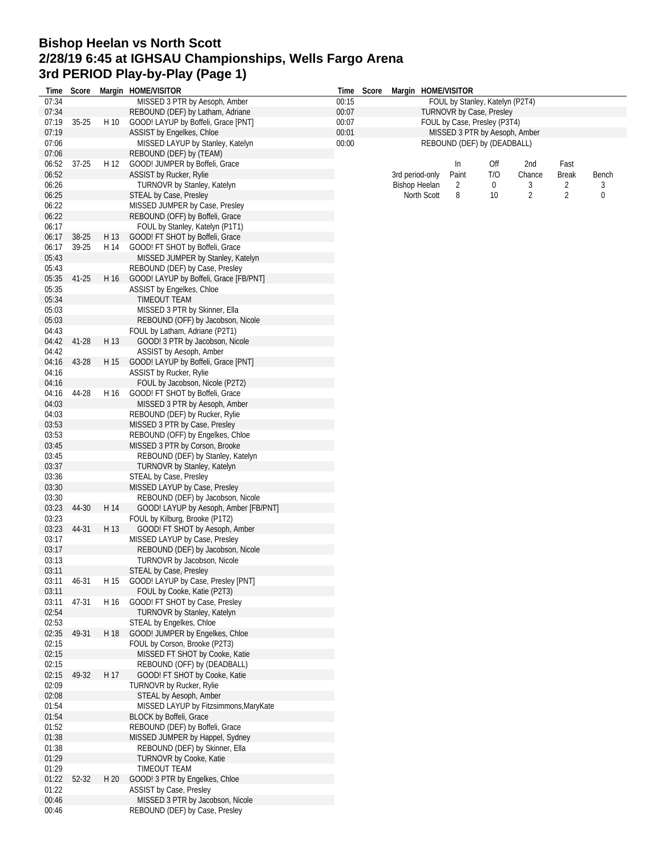## **Bishop Heelan vs North Scott 2/28/19 6:45 at IGHSAU Championships, Wells Fargo Arena 3rd PERIOD Play-by-Play (Page 1)**

|                | Time Score |      | Margin HOME/VISITOR                                                      |       | Time Score | Margin HOME/VISITOR  |                                 |     |                |                |       |
|----------------|------------|------|--------------------------------------------------------------------------|-------|------------|----------------------|---------------------------------|-----|----------------|----------------|-------|
| 07:34          |            |      | MISSED 3 PTR by Aesoph, Amber                                            | 00:15 |            |                      | FOUL by Stanley, Katelyn (P2T4) |     |                |                |       |
| 07:34          |            |      | REBOUND (DEF) by Latham, Adriane                                         | 00:07 |            |                      | TURNOVR by Case, Presley        |     |                |                |       |
| 07:19          | $35 - 25$  | H 10 | GOOD! LAYUP by Boffeli, Grace [PNT]                                      | 00:07 |            |                      | FOUL by Case, Presley (P3T4)    |     |                |                |       |
| 07:19          |            |      | ASSIST by Engelkes, Chloe                                                | 00:01 |            |                      | MISSED 3 PTR by Aesoph, Amber   |     |                |                |       |
| 07:06<br>07:06 |            |      | MISSED LAYUP by Stanley, Katelyn                                         | 00:00 |            |                      | REBOUND (DEF) by (DEADBALL)     |     |                |                |       |
| 06:52          | $37 - 25$  | H 12 | REBOUND (DEF) by (TEAM)<br>GOOD! JUMPER by Boffeli, Grace                |       |            |                      | In                              | Off | 2nd            | Fast           |       |
| 06:52          |            |      | ASSIST by Rucker, Rylie                                                  |       |            | 3rd period-only      | Paint                           | T/O | Chance         | <b>Break</b>   | Bench |
| 06:26          |            |      | TURNOVR by Stanley, Katelyn                                              |       |            | <b>Bishop Heelan</b> | 2                               | 0   | 3              | 2              | 3     |
| 06:25          |            |      | STEAL by Case, Presley                                                   |       |            | North Scott          | 8                               | 10  | $\overline{2}$ | $\overline{2}$ | 0     |
| 06:22          |            |      | MISSED JUMPER by Case, Presley                                           |       |            |                      |                                 |     |                |                |       |
| 06:22          |            |      | REBOUND (OFF) by Boffeli, Grace                                          |       |            |                      |                                 |     |                |                |       |
| 06:17          |            |      | FOUL by Stanley, Katelyn (P1T1)                                          |       |            |                      |                                 |     |                |                |       |
| 06:17          | 38-25      | H 13 | GOOD! FT SHOT by Boffeli, Grace                                          |       |            |                      |                                 |     |                |                |       |
| 06:17          | 39-25      | H 14 | GOOD! FT SHOT by Boffeli, Grace                                          |       |            |                      |                                 |     |                |                |       |
| 05:43          |            |      | MISSED JUMPER by Stanley, Katelyn                                        |       |            |                      |                                 |     |                |                |       |
| 05:43<br>05:35 | 41-25      | H 16 | REBOUND (DEF) by Case, Presley<br>GOOD! LAYUP by Boffeli, Grace [FB/PNT] |       |            |                      |                                 |     |                |                |       |
| 05:35          |            |      | ASSIST by Engelkes, Chloe                                                |       |            |                      |                                 |     |                |                |       |
| 05:34          |            |      | TIMEOUT TEAM                                                             |       |            |                      |                                 |     |                |                |       |
| 05:03          |            |      | MISSED 3 PTR by Skinner, Ella                                            |       |            |                      |                                 |     |                |                |       |
| 05:03          |            |      | REBOUND (OFF) by Jacobson, Nicole                                        |       |            |                      |                                 |     |                |                |       |
| 04:43          |            |      | FOUL by Latham, Adriane (P2T1)                                           |       |            |                      |                                 |     |                |                |       |
| 04:42          | 41-28      | H 13 | GOOD! 3 PTR by Jacobson, Nicole                                          |       |            |                      |                                 |     |                |                |       |
| 04:42          |            |      | ASSIST by Aesoph, Amber                                                  |       |            |                      |                                 |     |                |                |       |
| 04:16          | 43-28      | H 15 | GOOD! LAYUP by Boffeli, Grace [PNT]                                      |       |            |                      |                                 |     |                |                |       |
| 04:16          |            |      | ASSIST by Rucker, Rylie<br>FOUL by Jacobson, Nicole (P2T2)               |       |            |                      |                                 |     |                |                |       |
| 04:16<br>04:16 | 44-28      | H 16 | GOOD! FT SHOT by Boffeli, Grace                                          |       |            |                      |                                 |     |                |                |       |
| 04:03          |            |      | MISSED 3 PTR by Aesoph, Amber                                            |       |            |                      |                                 |     |                |                |       |
| 04:03          |            |      | REBOUND (DEF) by Rucker, Rylie                                           |       |            |                      |                                 |     |                |                |       |
| 03:53          |            |      | MISSED 3 PTR by Case, Presley                                            |       |            |                      |                                 |     |                |                |       |
| 03:53          |            |      | REBOUND (OFF) by Engelkes, Chloe                                         |       |            |                      |                                 |     |                |                |       |
| 03:45          |            |      | MISSED 3 PTR by Corson, Brooke                                           |       |            |                      |                                 |     |                |                |       |
| 03:45          |            |      | REBOUND (DEF) by Stanley, Katelyn                                        |       |            |                      |                                 |     |                |                |       |
| 03:37          |            |      | <b>TURNOVR by Stanley, Katelyn</b>                                       |       |            |                      |                                 |     |                |                |       |
| 03:36          |            |      | STEAL by Case, Presley<br>MISSED LAYUP by Case, Presley                  |       |            |                      |                                 |     |                |                |       |
| 03:30<br>03:30 |            |      | REBOUND (DEF) by Jacobson, Nicole                                        |       |            |                      |                                 |     |                |                |       |
| 03:23          | 44-30      | H 14 | GOOD! LAYUP by Aesoph, Amber [FB/PNT]                                    |       |            |                      |                                 |     |                |                |       |
| 03:23          |            |      | FOUL by Kilburg, Brooke (P1T2)                                           |       |            |                      |                                 |     |                |                |       |
| 03:23          | 44-31      | H 13 | GOOD! FT SHOT by Aesoph, Amber                                           |       |            |                      |                                 |     |                |                |       |
| 03:17          |            |      | MISSED LAYUP by Case, Presley                                            |       |            |                      |                                 |     |                |                |       |
| 03:17          |            |      | REBOUND (DEF) by Jacobson, Nicole                                        |       |            |                      |                                 |     |                |                |       |
| 03:13          |            |      | <b>TURNOVR by Jacobson, Nicole</b>                                       |       |            |                      |                                 |     |                |                |       |
| 03:11          |            |      | STEAL by Case, Presley<br>GOOD! LAYUP by Case, Presley [PNT]             |       |            |                      |                                 |     |                |                |       |
| 03:11<br>03:11 | 46-31      | H 15 | FOUL by Cooke, Katie (P2T3)                                              |       |            |                      |                                 |     |                |                |       |
| 03:11          | 47-31      | H 16 | GOOD! FT SHOT by Case, Presley                                           |       |            |                      |                                 |     |                |                |       |
| 02:54          |            |      | <b>TURNOVR by Stanley, Katelyn</b>                                       |       |            |                      |                                 |     |                |                |       |
| 02:53          |            |      | STEAL by Engelkes, Chloe                                                 |       |            |                      |                                 |     |                |                |       |
| 02:35          | 49-31      | H 18 | GOOD! JUMPER by Engelkes, Chloe                                          |       |            |                      |                                 |     |                |                |       |
| 02:15          |            |      | FOUL by Corson, Brooke (P2T3)                                            |       |            |                      |                                 |     |                |                |       |
| 02:15          |            |      | MISSED FT SHOT by Cooke, Katie                                           |       |            |                      |                                 |     |                |                |       |
| 02:15          |            |      | REBOUND (OFF) by (DEADBALL)                                              |       |            |                      |                                 |     |                |                |       |
| 02:15<br>02:09 | 49-32      | H 17 | GOOD! FT SHOT by Cooke, Katie<br><b>TURNOVR by Rucker, Rylie</b>         |       |            |                      |                                 |     |                |                |       |
| 02:08          |            |      | STEAL by Aesoph, Amber                                                   |       |            |                      |                                 |     |                |                |       |
| 01:54          |            |      | MISSED LAYUP by Fitzsimmons, MaryKate                                    |       |            |                      |                                 |     |                |                |       |
| 01:54          |            |      | <b>BLOCK by Boffeli, Grace</b>                                           |       |            |                      |                                 |     |                |                |       |
| 01:52          |            |      | REBOUND (DEF) by Boffeli, Grace                                          |       |            |                      |                                 |     |                |                |       |
| 01:38          |            |      | MISSED JUMPER by Happel, Sydney                                          |       |            |                      |                                 |     |                |                |       |
| 01:38          |            |      | REBOUND (DEF) by Skinner, Ella                                           |       |            |                      |                                 |     |                |                |       |
| 01:29          |            |      | <b>TURNOVR by Cooke, Katie</b>                                           |       |            |                      |                                 |     |                |                |       |
| 01:29<br>01:22 | 52-32      | H 20 | <b>TIMEOUT TEAM</b><br>GOOD! 3 PTR by Engelkes, Chloe                    |       |            |                      |                                 |     |                |                |       |
| 01:22          |            |      | ASSIST by Case, Presley                                                  |       |            |                      |                                 |     |                |                |       |
| 00:46          |            |      | MISSED 3 PTR by Jacobson, Nicole                                         |       |            |                      |                                 |     |                |                |       |
| 00:46          |            |      | REBOUND (DEF) by Case, Presley                                           |       |            |                      |                                 |     |                |                |       |